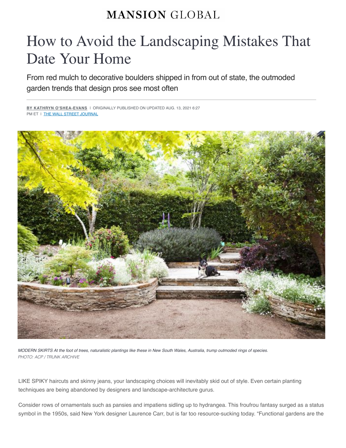## **MANSION GLOBAL**

## How to Avoid the Landscaping Mistakes That Date Your Home

From red mulch to decorative boulders shipped in from out of state, the outmoded garden trends that design pros see most often

**BY KATHRYN O'SHEA-EVANS** I ORIGINALLY PUBLISHED ON UPDATED AUG. 13, 2021 6:27 PM ET I THE WALL STREET JOURNAL



*MODERN SKIRTS At the foot of trees, naturalistic plantings like these in New South Wales, Australia, trump outmoded rings of species. PHOTO: ACP / TRUNK ARCHIVE*

LIKE SPIKY haircuts and skinny jeans, your landscaping choices will inevitably skid out of style. Even certain planting techniques are being abandoned by designers and landscape-architecture gurus.

Consider rows of ornamentals such as pansies and impatiens sidling up to hydrangea. This froufrou fantasy surged as a status symbol in the 1950s, said New York designer Laurence Carr, but is far too resource-sucking today. "Functional gardens are the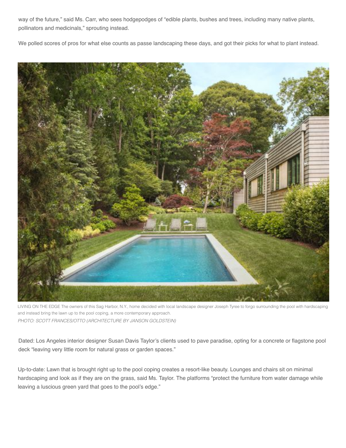way of the future," said Ms. Carr, who sees hodgepodges of "edible plants, bushes and trees, including many native plants, pollinators and medicinals," sprouting instead.

We polled scores of pros for what else counts as passe landscaping these days, and got their picks for what to plant instead.



LIVING ON THE EDGE The owners of this Sag Harbor, N.Y., home decided with local landscape designer Joseph Tyree to forgo surrounding the pool with hardscaping and instead bring the lawn up to the pool coping, a more contemporary approach. *PHOTO: SCOTT FRANCES/OTTO (ARCHITECTURE BY JANSON GOLDSTEIN)*

Dated: Los Angeles interior designer Susan Davis Taylor's clients used to pave paradise, opting for a concrete or flagstone pool deck "leaving very little room for natural grass or garden spaces."

Up-to-date: Lawn that is brought right up to the pool coping creates a resort-like beauty. Lounges and chairs sit on minimal hardscaping and look as if they are on the grass, said Ms. Taylor. The platforms "protect the furniture from water damage while leaving a luscious green yard that goes to the pool's edge."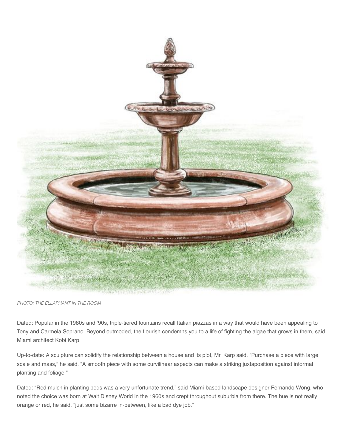

*PHOTO: THE ELLAPHANT IN THE ROOM*

Dated: Popular in the 1980s and '90s, triple-tiered fountains recall Italian piazzas in a way that would have been appealing to Tony and Carmela Soprano. Beyond outmoded, the flourish condemns you to a life of fighting the algae that grows in them, said Miami architect Kobi Karp.

Up-to-date: A sculpture can solidify the relationship between a house and its plot, Mr. Karp said. "Purchase a piece with large scale and mass," he said. "A smooth piece with some curvilinear aspects can make a striking juxtaposition against informal planting and foliage."

Dated: "Red mulch in planting beds was a very unfortunate trend," said Miami-based landscape designer Fernando Wong, who noted the choice was born at Walt Disney World in the 1960s and crept throughout suburbia from there. The hue is not really orange or red, he said, "just some bizarre in-between, like a bad dye job."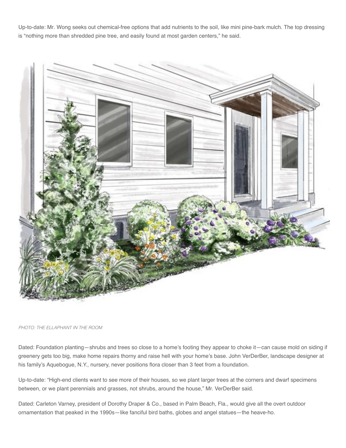Up-to-date: Mr. Wong seeks out chemical-free options that add nutrients to the soil, like mini pine-bark mulch. The top dressing is "nothing more than shredded pine tree, and easily found at most garden centers," he said.



*PHOTO: THE ELLAPHANT IN THE ROOM*

Dated: Foundation planting—shrubs and trees so close to a home's footing they appear to choke it—can cause mold on siding if greenery gets too big, make home repairs thorny and raise hell with your home's base. John VerDerBer, landscape designer at his family's Aquebogue, N.Y., nursery, never positions flora closer than 3 feet from a foundation.

Up-to-date: "High-end clients want to see more of their houses, so we plant larger trees at the corners and dwarf specimens between, or we plant perennials and grasses, not shrubs, around the house," Mr. VerDerBer said.

Dated: Carleton Varney, president of Dorothy Draper & Co., based in Palm Beach, Fla., would give all the overt outdoor ornamentation that peaked in the 1990s—like fanciful bird baths, globes and angel statues—the heave-ho.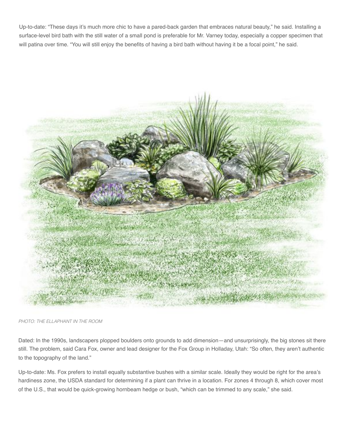Up-to-date: "These days it's much more chic to have a pared-back garden that embraces natural beauty," he said. Installing a surface-level bird bath with the still water of a small pond is preferable for Mr. Varney today, especially a copper specimen that will patina over time. "You will still enjoy the benefits of having a bird bath without having it be a focal point," he said.



*PHOTO: THE ELLAPHANT IN THE ROOM*

Dated: In the 1990s, landscapers plopped boulders onto grounds to add dimension—and unsurprisingly, the big stones sit there still. The problem, said Cara Fox, owner and lead designer for the Fox Group in Holladay, Utah: "So often, they aren't authentic to the topography of the land."

Up-to-date: Ms. Fox prefers to install equally substantive bushes with a similar scale. Ideally they would be right for the area's hardiness zone, the USDA standard for determining if a plant can thrive in a location. For zones 4 through 8, which cover most of the U.S., that would be quick-growing hornbeam hedge or bush, "which can be trimmed to any scale," she said.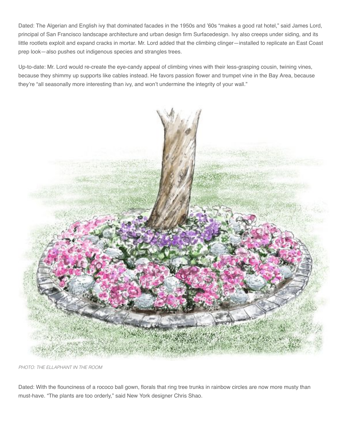Dated: The Algerian and English ivy that dominated facades in the 1950s and '60s "makes a good rat hotel," said James Lord, principal of San Francisco landscape architecture and urban design firm Surfacedesign. Ivy also creeps under siding, and its little rootlets exploit and expand cracks in mortar. Mr. Lord added that the climbing clinger—installed to replicate an East Coast prep look—also pushes out indigenous species and strangles trees.

Up-to-date: Mr. Lord would re-create the eye-candy appeal of climbing vines with their less-grasping cousin, twining vines, because they shimmy up supports like cables instead. He favors passion flower and trumpet vine in the Bay Area, because they're "all seasonally more interesting than ivy, and won't undermine the integrity of your wall."



*PHOTO: THE ELLAPHANT IN THE ROOM*

Dated: With the flounciness of a rococo ball gown, florals that ring tree trunks in rainbow circles are now more musty than must-have. "The plants are too orderly," said New York designer Chris Shao.